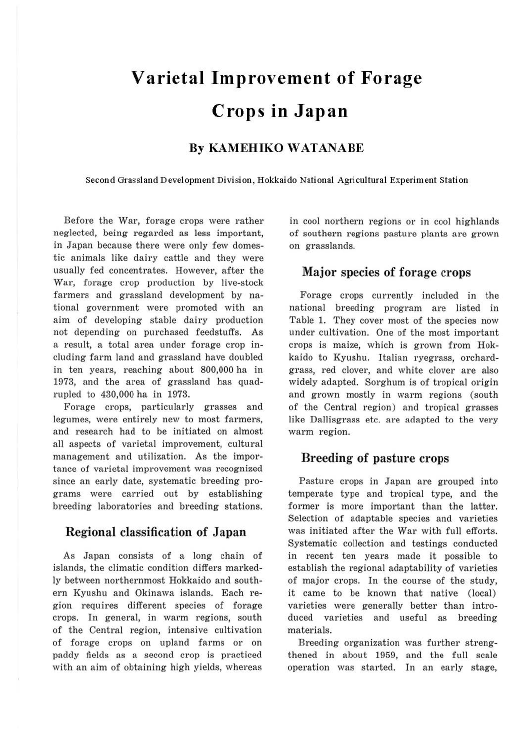# **Varietal Improvement of Forage Crops in Japan**

### **By KAMEHIKO WATANABE**

**Second Grassland Development Division, Hokkaido National Agricultural Experiment Station** 

Before the War, forage crops were rather neglected, being regarded as less important, in Japan because there were only few domestic animals like dairy cattle and they were usually fed concentrates. However, after the War, forage crop production by Jive-stock farmers and grassland development by national government were promoted with an aim of developing stable dairy production not depending on purchased feedstuffs. As a result, a total area under forage crop including farm land and grassland have doubled in ten years, reaching about 800,000 ha in 1973, and the area of grassland has quadrupled to 430,000 ha in 1973.

Forage crops, particularly grasses and legumes, were entirely new to most farmers, and research had to be initiated on almost all aspects of varietal improvement, cultural management and utilization. As the importance of varietal improvement was recognized since an early date, systematic breeding programs were carried out by establishing breeding laboratories and breeding stations.

#### Regional classification of Japan

As Japan consists of a long chain of islands, the climatic condition differs markedly between northernmost Hokkaido and southern Kyushu and Okinawa islands. Each region requires different species of forage crops. In general, in warm regions, south of the Central region, intensive cultivation of forage crops on upland farms or on paddy fields as a second crop is practiced with an aim of obtaining high yields, whereas

in cool northern regions or in cool highlands of southern regions pasture plants are grown on grasslands.

## Major species of forage crops

Forage crops currently included in the national breeding program are listed in Table 1. They cover most of the species now under cultivation. One of the most important crops is maize, which is grown from Hokkaido to Kyushu. Italian ryegrass, orchardgrass, red clover, and white clover are also widely adapted. Sorghum is of tropical origin and grown mostly in warm regions (south of the Central region) and tropical grasses like Dallisgrass etc. are adapted to the very warm region.

### Breeding of pasture crops

Pasture crops in Japan are grouped into temperate type and tropical type, and the former is more important than the latter. Selection of adaptable species and varieties was initiated after the War with full efforts. Systematic collection and testings conducted in recent ten years made it possible to establish the regional adaptability of varieties of major crops. In the course of the study, it came to be known that native (local) varieties were generally better than introduced varieties and useful as breeding materials.

Breeding organization was further strengthened in about 1959, and the full scale operation was started. In an early stage,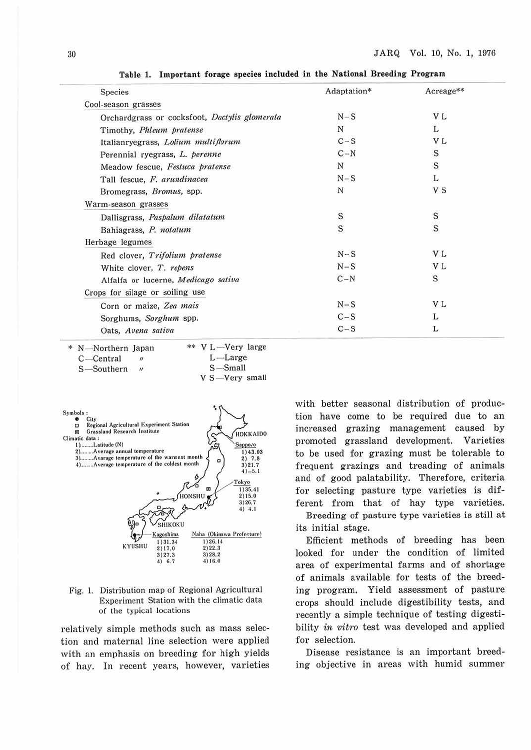| <b>Species</b>                                | Adaptation* | Acreage**      |
|-----------------------------------------------|-------------|----------------|
| Cool-season grasses                           |             |                |
| Orchardgrass or cocksfoot, Dactylis glomerata | $N-S$       | V L            |
| Timothy, Phleum pratense                      | N           | L              |
| Italianryegrass, Lolium multiflorum           | $C-S$       | V L            |
| Perennial ryegrass, L. perenne                | $C-N$       | $\mathbf S$    |
| Meadow fescue, Festuca pratense               | N           | $\mathbf S$    |
| Tall fescue, F. arundinacea                   | $N-S$       | L              |
| Bromegrass, <i>Bromus</i> , spp.              | N           | V S            |
| Warm-season grasses                           |             |                |
| Dallisgrass, Paspalum dilatatum               | S           | S              |
| Bahiagrass, P. notatum                        | S           |                |
| Herbage legumes                               |             |                |
| Red clover, Trifolium pratense                | $N-S$       | V L            |
| White clover, T. repens                       | $N-S$       | V <sub>L</sub> |
| Alfalfa or lucerne, Medicago sativa           | $C-N$       | $\mathbf S$    |
| Crops for silage or soiling use               |             |                |
| Corn or maize, Zea mais                       | $N-S$       | V L            |
| Sorghums, Sorghum spp.                        | $C-S$       | L              |
| Oats, Avena sativa                            | $C-S$       | L              |

Table 1. Important forage species included in the National Breeding Program

| * N-Northern Japan                | ** V L-Very large   |
|-----------------------------------|---------------------|
| $C$ —Central<br>$^{\prime\prime}$ | $L$ —Large          |
| $\mathbf{u}$<br>S-Southern        | $S - Small$         |
|                                   | $V S - V$ ery small |



Fig. 1. Distribution map of Regional Agricultural Experiment Station with the climatic data of the typical locations

relatively simple methods such as mass selection and maternal line selection were applied with an emphasis on breeding for high yields of hay. In recent years, however, varieties with better seasonal distribution of production have come to be required due to an increased grazing management caused by promoted grassland development. Varieties to be used for grazing must be tolerable to frequent grazings and treading of animals and of good palatability. Therefore, criteria for selecting pasture type varieties is different from that of hay type varieties.

Breeding of pasture type varieties is still at its initial stage.

Efficient methods of breeding has been looked for under the condition of limited area of experimental farms and of shortage of animals available for tests of the breeding program. Yield assessment of pasture crops should include digestibility tests, and recently a simple technique of testing digestibility in vitro test was developed and applied for selection.

Disease resistance is an important breeding objective in areas with humid summer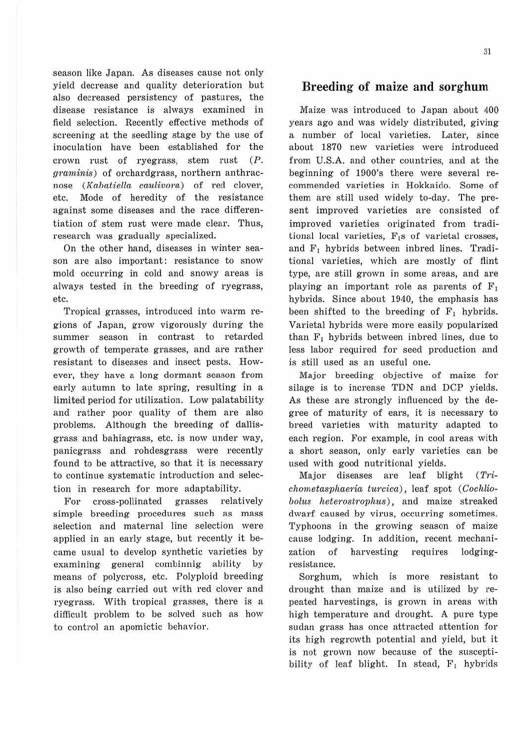season like Japan. As diseases cause not only yield decrease and quality deterioration but also decreased persistency of pastures, the disease resistance is always examined in field selection. Recently effective methods of screening at the seedling stage by the use of inoculation have been established for the crown rust of ryegrass, stem rust (P. graminis) of orchardgrass, northern anthracnose (Kabatiella caulivora) of red clover, etc. Mode of heredity of the resistance against some diseases and the race differentiation of stem rust were made clear. Thus, research was gradually specialized.

On the other hand, diseases in winter season are also important: resistance to snow mold occurring in cold and snowy areas is always tested in the breeding of ryegrass, etc.

Tropical grasses, introduced into warm regions of Japan, grow vigorously during the summer season in contrast to retarded growth of temperate grasses, and are rather resistant to diseases and insect pests. However, they have a long dormant season from early autumn to late spring, resulting in a limited period for utilization. Low palatability and rather poor quality of them are also problems. Although the breeding of dallisgrass and bahiagrass, etc. is now under way, panicgrass and rohdesgrass were recently found to be attractive, so that it is necessary to continue systematic introduction and selection in research for more adaptability.

For cross-pollinated grasses relatively simple breeding procedures such as mass selection and maternal line selection were applied in an early stage, but recently it became usual to develop synthetic varieties by examining general combinnig ability by means of polycross, etc. Polyploid breeding is also being carried out with red clover and ryegrass. With tropical grasses, there is a difficult problem to be solved such as how to control an apomictic behavior.

## **Breeding of maize and sorghum**

Maize was introduced to Japan about 400 years ago and was widely distributed, giving a number of local varieties. Later, since about 1870 new varieties were introduced from U.S.A. and other countries, and at the beginning of 1900's there were several recommended varieties in Hokkaido. Some of them are still used widely to-day. The present improved varieties are consisted of improved varieties originated from traditional local varieties,  $F_1s$  of varietal crosses, and  $F_1$  hybrids between inbred lines. Traditional varieties, which are mostly of flint type, are still grown in some areas, and are playing an important role as parents of  $F_1$ hybrids. Since about 1940, the emphasis has been shifted to the breeding of  $F_1$  hybrids. Varietal hybrids were more easily popularized than  $F_1$  hybrids between inbred lines, due to less labor required for seed production and is still used as an useful one.

Major breeding objective of maize for silage is to increase TDN and DCP yields. As these are strongly influenced by the degree of maturity of ears, it is necessary to breed varieties with maturity adapted to each region. For example, in cool areas with a short season, only early varieties can be used with good nutritional yields.

Major diseases are leaf blight (Trichornetasphaeria turcica) , leaf spot (Cochliobolus heterostrophus), and maize streaked dwarf caused by virus, occurring sometimes. Typhoons in the growing season of maize cause lodging. In addition, recent mechanization of harvesting requires lodgingresistance.

Sorghum, which is more resistant to drought than maize and is utilized by repeated harvestings, is grown in areas with high temperature and drought. A pure type sudan grass has once attracted attention for its high regrowth potential and yield, but it is not grown now because of the susceptibility of leaf blight. In stead,  $F_1$  hybrids